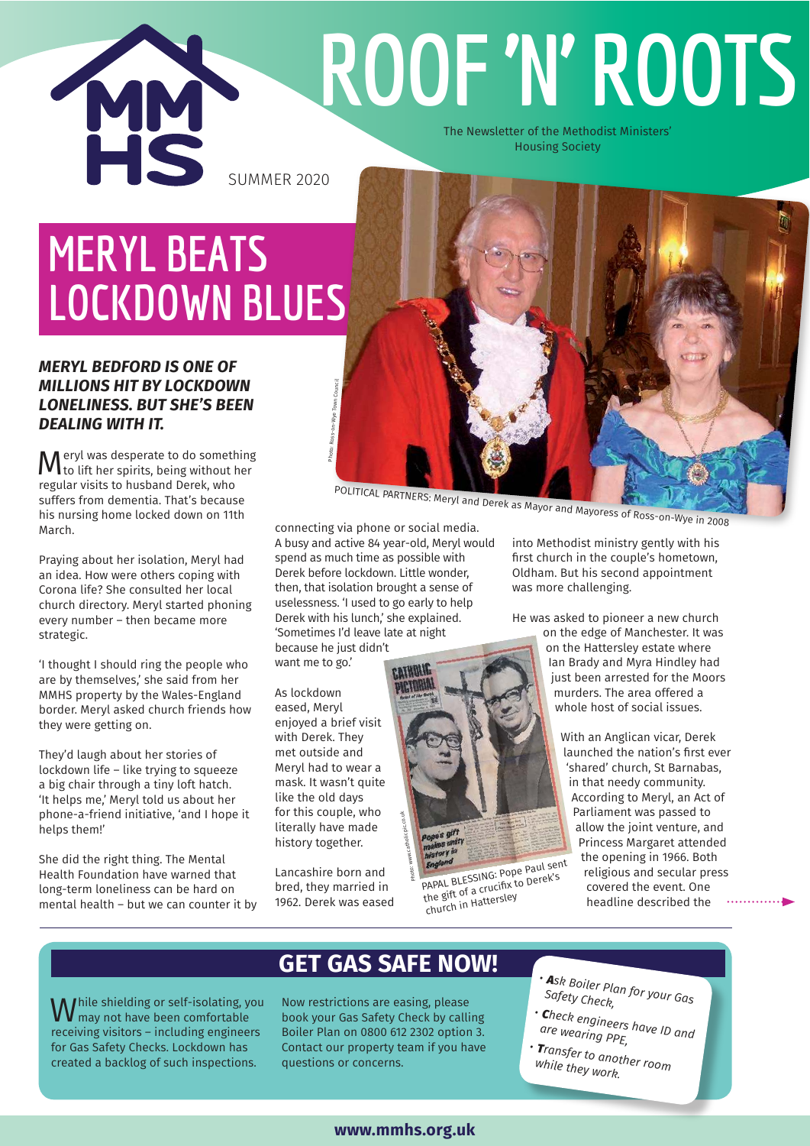

# **ROOF 'N' ROOTS**

The Newsletter of the Methodist Ministers' Housing Society

# **MERYL BEATS LOCKDOWN BLUES**

### *MERYL BEDFORD IS ONE OF MILLIONS HIT BY LOCKDOWN LONELINESS. BUT SHE'S BEEN DEALING WITH IT.*

M eryl was desperate to do something<br>to lift her spirits, being without her to lift her spirits, being without her regular visits to husband Derek, who suffers from dementia. That's because his nursing home locked down on 11th March.

Praying about her isolation, Meryl had an idea. How were others coping with Corona life? She consulted her local church directory. Meryl started phoning every number – then became more strategic.

'I thought I should ring the people who are by themselves,' she said from her MMHS property by the Wales-England border. Meryl asked church friends how they were getting on.

They'd laugh about her stories of lockdown life – like trying to squeeze a big chair through a tiny loft hatch. 'It helps me,' Meryl told us about her phone-a-friend initiative, 'and I hope it helps them!'

She did the right thing. The Mental Health Foundation have warned that long-term loneliness can be hard on mental health – but we can counter it by

POLITICAL PARTNERS: Meryl and Derek as Mayor and Mayoress of Ross-on-Wye in 2008

connecting via phone or social media. A busy and active 84 year-old, Meryl would spend as much time as possible with Derek before lockdown. Little wonder, then, that isolation brought a sense of uselessness. 'I used to go early to help Derek with his lunch,' she explained. 'Sometimes I'd leave late at night because he just didn't want me to go.'

As lockdown eased, Meryl enjoyed a brief visit with Derek. They met outside and Meryl had to wear a mask. It wasn't quite like the old days for this couple, who literally have made history together.

Photo: Ross-on-Wye Town Council

Lancashire born and bred, they married in 1962. Derek was eased into Methodist ministry gently with his first church in the couple's hometown, Oldham. But his second appointment was more challenging.

He was asked to pioneer a new church

on the edge of Manchester. It was on the Hattersley estate where Ian Brady and Myra Hindley had just been arrested for the Moors murders. The area offered a whole host of social issues.

With an Anglican vicar, Derek launched the nation's first ever 'shared' church, St Barnabas, in that needy community. According to Meryl, an Act of Parliament was passed to allow the joint venture, and Princess Margaret attended the opening in 1966. Both religious and secular press covered the event. One headline described the 

PAPAL BLESSING: Pope Paul sent the gift of a crucifix to Derek's church in Hattersley

While shielding or self-isolating, you<br>W may not have been comfortable may not have been comfortable receiving visitors – including engineers for Gas Safety Checks. Lockdown has created a backlog of such inspections.

# **GET GAS SAFE NOW!**

Photo: www.catholicpic.co.uk

Now restrictions are easing, please book your Gas Safety Check by calling Boiler Plan on 0800 612 2302 option 3. Contact our property team if you have questions or concerns.

- *<sup>A</sup>sk Boiler Plan for your Gas Safety Check,*
- 
- *<sup>C</sup>heck engineers have ID and are wearing PPE,*
- *<sup>T</sup>ransfer to another room while they work.*

### **www.mmhs.org.uk**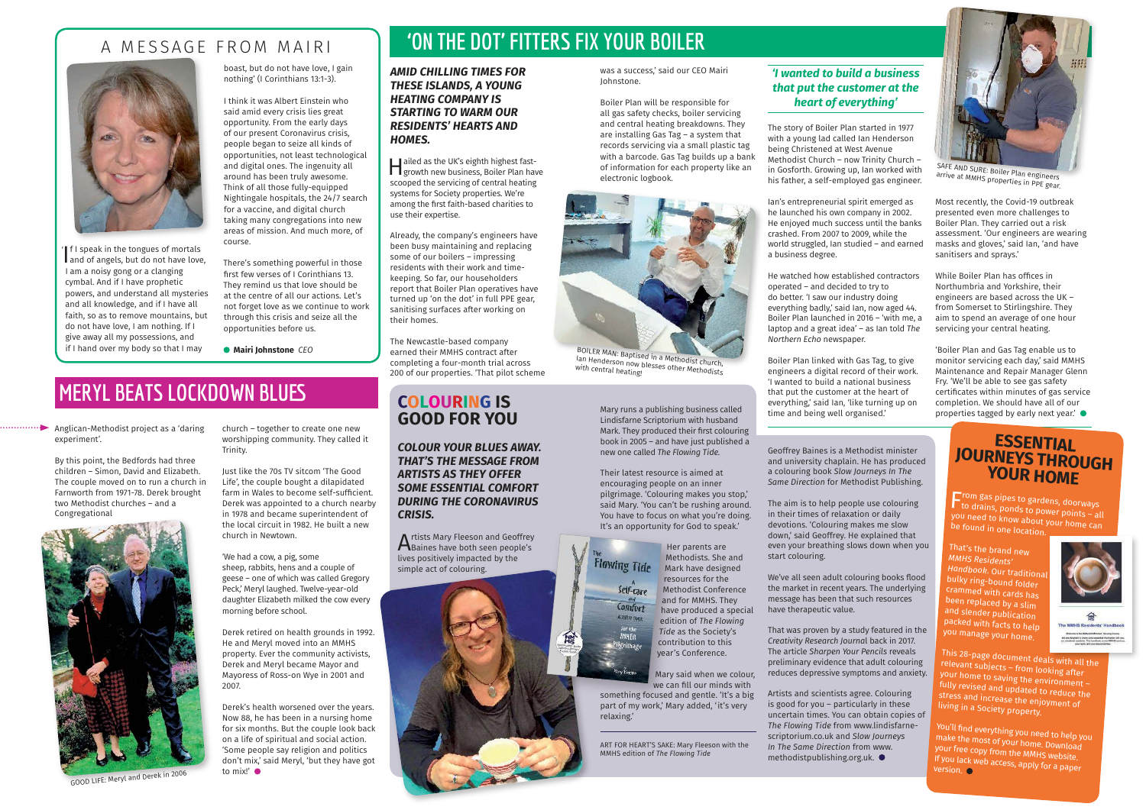#### boast, but do not have love, I gain nothing' (I Corinthians 13:1-3).

I think it was Albert Einstein who said amid every crisis lies great opportunity. From the early days of our present Coronavirus crisis, people began to seize all kinds of opportunities, not least technological and digital ones. The ingenuity all around has been truly awesome. Think of all those fully-equipped Nightingale hospitals, the 24/7 search for a vaccine, and digital church taking many congregations into new areas of mission. And much more, of course.

There's something powerful in those first few verses of I Corinthians 13. They remind us that love should be at the centre of all our actions. Let's not forget love as we continue to work through this crisis and seize all the opportunities before us.

 **Mairi Johnstone** *CEO*

# A MESSAGE FROM MAIRI



# **MERYL BEATS LOCKDOWN BLUES**

Anglican-Methodist project as a 'daring experiment'.

By this point, the Bedfords had three children – Simon, David and Elizabeth. The couple moved on to run a church in Farnworth from 1971-78. Derek brought two Methodist churches – and a Congregational

**Hailed as the UK's eighth highest fast-**<br>growth new business, Boiler Plan have ailed as the UK's eighth highest fastscooped the servicing of central heating systems for Society properties. We're among the first faith-based charities to use their expertise.

church – together to create one new worshipping community. They called it Trinity.

Just like the 70s TV sitcom 'The Good Life', the couple bought a dilapidated farm in Wales to become self-sufficient. Derek was appointed to a church nearby in 1978 and became superintendent of the local circuit in 1982. He built a new church in Newtown.

'We had a cow, a pig, some sheep, rabbits, hens and a couple of geese – one of which was called Gregory Peck,' Meryl laughed. Twelve-year-old daughter Elizabeth milked the cow every morning before school.

A rtists Mary Fleeson and Geoffrey<br>Baines have both seen people's Baines have both seen people's lives positively impacted by the simple act of colouring.



Derek retired on health grounds in 1992. He and Meryl moved into an MMHS property. Ever the community activists, Derek and Meryl became Mayor and Mayoress of Ross-on Wye in 2001 and 2007.

Derek's health worsened over the years. Now 88, he has been in a nursing home for six months. But the couple look back on a life of spiritual and social action. 'Some people say religion and politics don't mix,' said Meryl, 'but they have got to mix!'

#### *AMID CHILLING TIMES FOR THESE ISLANDS, A YOUNG HEATING COMPANY IS STARTING TO WARM OUR RESIDENTS' HEARTS AND HOMES.*

Already, the company's engineers have been busy maintaining and replacing some of our boilers – impressing residents with their work and timekeeping. So far, our householders report that Boiler Plan operatives have turned up 'on the dot' in full PPE gear, sanitising surfaces after working on their homes.

The Newcastle-based company earned their MMHS contract after completing a four-month trial across 200 of our properties. 'That pilot scheme

# **'ON THE DOT' FITTERS FIX YOUR BOILER**

was a success,' said our CEO Mairi Johnstone.

If I speak in the tongues of mortals<br>and of angels, but do not have love, **If I speak in the tongues of mortals** I am a noisy gong or a clanging cymbal. And if I have prophetic powers, and understand all mysteries and all knowledge, and if I have all faith, so as to remove mountains, but do not have love, I am nothing. If I give away all my possessions, and if I hand over my body so that I may '

Boiler Plan will be responsible for all gas safety checks, boiler servicing and central heating breakdowns. They are installing Gas Tag – a system that records servicing via a small plastic tag with a barcode. Gas Tag builds up a bank of information for each property like an electronic logbook.



BOILER MAN: Baptised in a Methodist church,<br>Ian Henderson now blesses other Methodists

## *'I wanted to build a business that put the customer at the heart of everything'*

# **COLOURING IS GOOD FOR YOU**

*COLOUR YOUR BLUES AWAY. THAT'S THE MESSAGE FROM ARTISTS AS THEY OFFER SOME ESSENTIAL COMFORT DURING THE CORONAVIRUS CRISIS.* 

Mary runs a publishing business called Lindisfarne Scriptorium with husband Mark. They produced their first colouring book in 2005 – and have just published a new one called *The Flowing Tide.*

Their latest resource is aimed at encouraging people on an inner pilgrimage. 'Colouring makes you stop,' said Mary. 'You can't be rushing around. You have to focus on what you're doing. It's an opportunity for God to speak.'

Her parents are Methodists. She and **Flowing Tide Mark have designed** resources for the Self-care Methodist Conference and for MMHS. They Comfort have produced a special **ACTIVITY 300** edition of *The Flowing Tide* as the Society's contribution to this year's Conference.

> Mary said when we colour, we can fill our minds with

something focused and gentle. 'It's a big part of my work,' Mary added, 'it's very relaxing.'

Geoffrey Baines is a Methodist minister and university chaplain. He has produced a colouring book *Slow Journeys In The Same Direction* for Methodist Publishing.

The aim is to help people use colouring in their times of relaxation or daily devotions. 'Colouring makes me slow down,' said Geoffrey. He explained that even your breathing slows down when you start colouring.

We've all seen adult colouring books flood the market in recent years. The underlying message has been that such resources have therapeutic value.

That was proven by a study featured in the *Creativity Research Journa*l back in 2017. The article *Sharpen Your Pencils* reveals preliminary evidence that adult colouring reduces depressive symptoms and anxiety.

Artists and scientists agree. Colouring is good for you – particularly in these uncertain times. You can obtain copies of *The Flowing Tide* from www.lindisfarnescriptorium.co.uk and *Slow Journeys In The Same Direction* from www. methodistpublishing.org.uk.

ART FOR HEART'S SAKE: Mary Fleeson with the MMHS edition of *The Flowing Tide*

# **ESSENTIAL JOURNEYS THROUGH YOUR HOME**

From gas pipes to gardens, doorways<br>F to drains, ponds to power points – all you need to know about your home can<br>be found in one location.

That's the brand new *MMHS Residents' Handbook. Our tradition* bulky ring-bound folder crammed with cards has been replaced by a slim and slender publication packed with facts to help you manage your home.



This 28-page document deals with all the relevant subjects – from looking after<br>your home to saving the environment –<br>fully revised and updated to reduce the<br>stress and increase the enjoyment of<br>living in a Society propert

You'll find everything you need to help you<br>make the most of your home. Download<br>your free copy from the MMHS website.<br>If you lack web access, apply for a paper<br>version.

SAFE AND SURE: Boiler Plan engineers arrive at MMHS properties in PPE gear.



GOOD LIFE: Meryl and Derek in 2006

The story of Boiler Plan started in 1977 with a young lad called Ian Henderson being Christened at West Avenue Methodist Church – now Trinity Church – in Gosforth. Growing up, Ian worked with his father, a self-employed gas engineer.

Ian's entrepreneurial spirit emerged as he launched his own company in 2002. He enjoyed much success until the banks crashed. From 2007 to 2009, while the world struggled, Ian studied – and earned a business degree.

He watched how established contractors operated – and decided to try to do better. 'I saw our industry doing everything badly,' said Ian, now aged 44. Boiler Plan launched in 2016 – 'with me, a laptop and a great idea' – as Ian told *The Northern Echo* newspaper.

Boiler Plan linked with Gas Tag, to give engineers a digital record of their work. 'I wanted to build a national business that put the customer at the heart of everything,' said Ian, 'like turning up on time and being well organised.'

Most recently, the Covid-19 outbreak presented even more challenges to Boiler Plan. They carried out a risk assessment. 'Our engineers are wearing masks and gloves,' said Ian, 'and have sanitisers and sprays.'

While Boiler Plan has offices in Northumbria and Yorkshire, their engineers are based across the UK – from Somerset to Stirlingshire. They aim to spend an average of one hour servicing your central heating.

'Boiler Plan and Gas Tag enable us to monitor servicing each day,' said MMHS Maintenance and Repair Manager Glenn Fry. 'We'll be able to see gas safety certificates within minutes of gas service completion. We should have all of our properties tagged by early next year.'